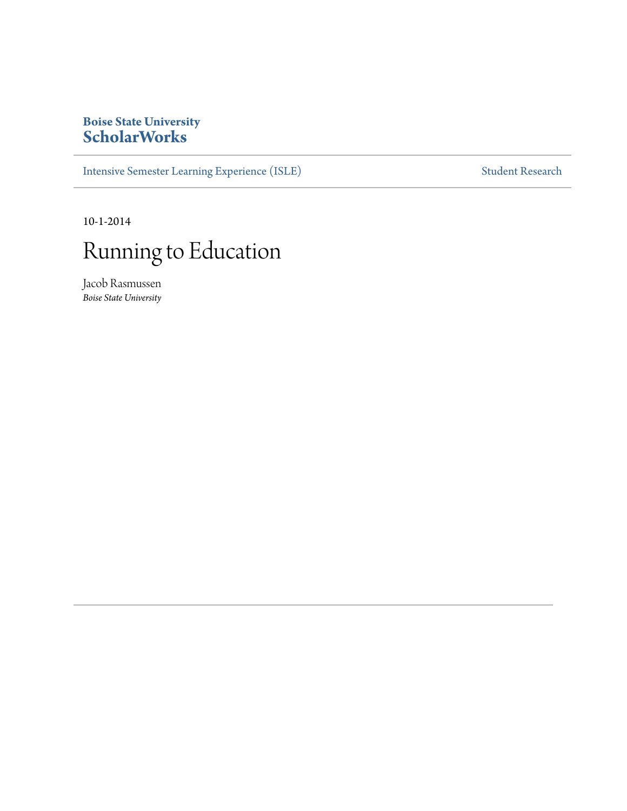### **Boise State University [ScholarWorks](http://scholarworks.boisestate.edu)**

[Intensive Semester Learning Experience \(ISLE\)](http://scholarworks.boisestate.edu/isle) [Student Research](http://scholarworks.boisestate.edu/student_research)

10-1-2014

# Running to Education

Jacob Rasmussen *Boise State University*